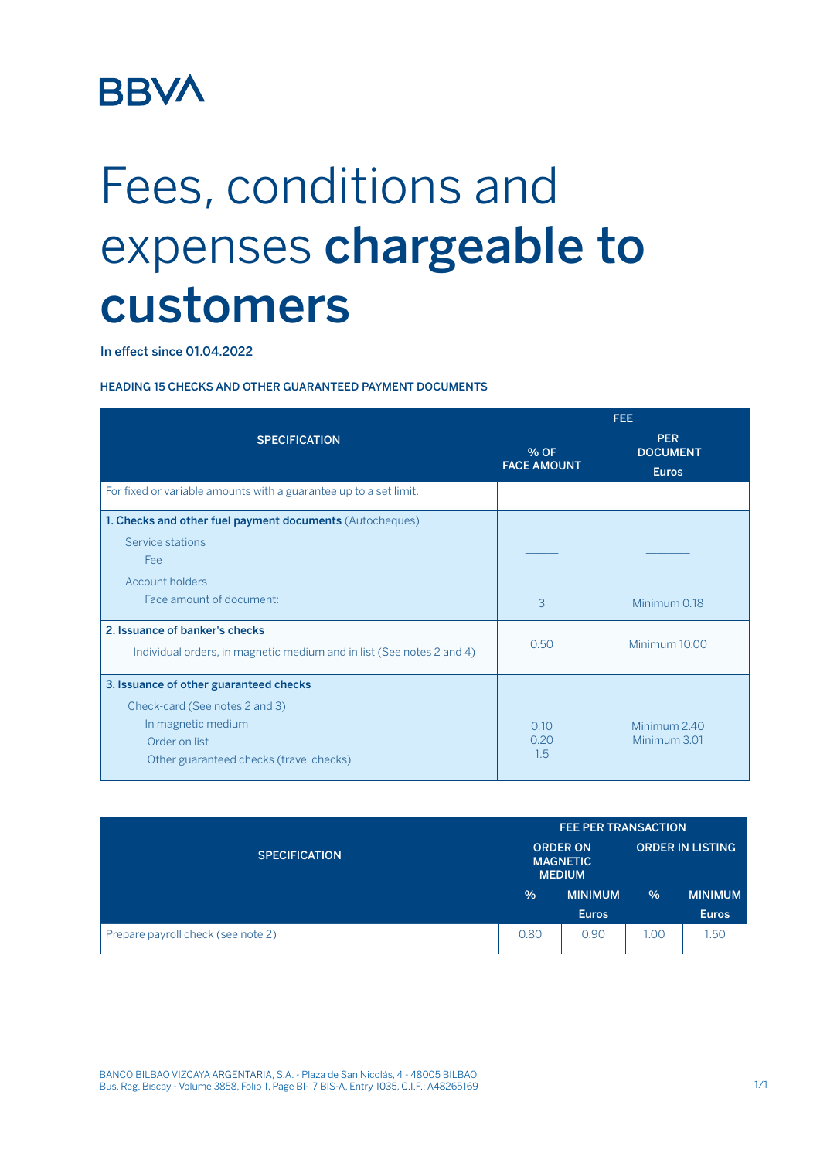## **BBVA**

## Fees, conditions and expenses chargeable to customers

In effect since 01.04.2022

## HEADING 15 CHECKS AND OTHER GUARANTEED PAYMENT DOCUMENTS

|                                                                       | <b>FEE</b>                 |                                               |  |
|-----------------------------------------------------------------------|----------------------------|-----------------------------------------------|--|
| <b>SPECIFICATION</b>                                                  | % OF<br><b>FACE AMOUNT</b> | <b>PER</b><br><b>DOCUMENT</b><br><b>Euros</b> |  |
| For fixed or variable amounts with a guarantee up to a set limit.     |                            |                                               |  |
| 1. Checks and other fuel payment documents (Autocheques)              |                            |                                               |  |
| Service stations<br>Fee                                               |                            |                                               |  |
| Account holders                                                       |                            |                                               |  |
| Face amount of document:                                              | 3                          | Minimum 0.18                                  |  |
| 2. Issuance of banker's checks                                        | 0.50                       | Minimum 10.00                                 |  |
| Individual orders, in magnetic medium and in list (See notes 2 and 4) |                            |                                               |  |
| 3. Issuance of other guaranteed checks                                |                            |                                               |  |
| Check-card (See notes 2 and 3)                                        |                            |                                               |  |
| In magnetic medium                                                    | 0.10                       | Minimum 2.40                                  |  |
| Order on list                                                         | 0.20<br>1.5                | Minimum 3.01                                  |  |
| Other guaranteed checks (travel checks)                               |                            |                                               |  |

|                                    | <b>FEE PER TRANSACTION</b> |                                                     |               |                         |
|------------------------------------|----------------------------|-----------------------------------------------------|---------------|-------------------------|
| <b>SPECIFICATION</b>               |                            | <b>ORDER ON</b><br><b>MAGNETIC</b><br><b>MEDIUM</b> |               | <b>ORDER IN LISTING</b> |
|                                    | $\frac{0}{0}$              | <b>MINIMUM</b>                                      | $\frac{9}{6}$ | <b>MINIMUM</b>          |
|                                    |                            | <b>Euros</b>                                        |               | <b>Euros</b>            |
| Prepare payroll check (see note 2) | 0.80                       | 0.90                                                | 1.00          | .50                     |

BANCO BILBAO VIZCAYA ARGENTARIA, S.A. - Plaza de San Nicolás, 4 - 48005 BILBAO Bus. Reg. Biscay - Volume 3858, Folio 1, Page BI-17 BIS-A, Entry 1035, C.I.F.: A48265169 1/1